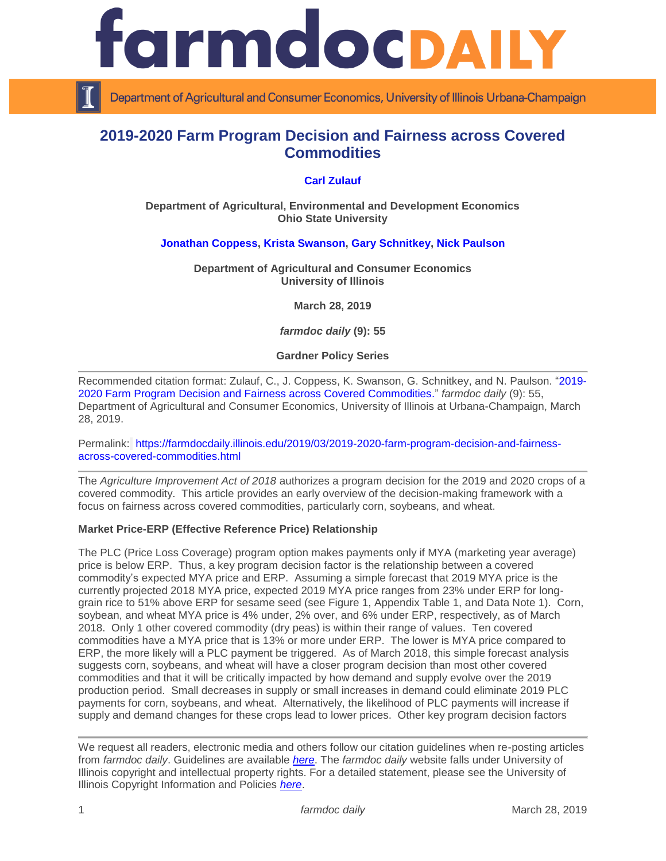

Department of Agricultural and Consumer Economics, University of Illinois Urbana-Champaign

# **2019-2020 Farm Program Decision and Fairness across Covered Commodities**

## **[Carl Zulauf](http://aede.osu.edu/our-people/carl-zulauf)**

**Department of Agricultural, Environmental and Development Economics Ohio State University**

### **[Jonathan Coppess,](http://farmdoc.illinois.edu/coppess) [Krista Swanson,](https://ace.illinois.edu/directory/krista) [Gary Schnitkey,](http://farmdoc.illinois.edu/schnitkey) [Nick Paulson](http://farmdoc.illinois.edu/paulson)**

**Department of Agricultural and Consumer Economics University of Illinois**

**March 28, 2019**

*farmdoc daily* **(9): 55**

**Gardner Policy Series**

Recommended citation format: Zulauf, C., J. Coppess, K. Swanson, G. Schnitkey, and N. Paulson. ["2019-](https://farmdocdaily.illinois.edu/2019/03/2019-2020-farm-program-decision-and-fairness-across-covered-commodities.html) [2020 Farm Program Decision and Fairness across Covered Commodities.](https://farmdocdaily.illinois.edu/2019/03/2019-2020-farm-program-decision-and-fairness-across-covered-commodities.html)" *farmdoc daily* (9): 55, Department of Agricultural and Consumer Economics, University of Illinois at Urbana-Champaign, March 28, 2019.

Permalink: [https://farmdocdaily.illinois.edu/2019/03/2019-2020-farm-program-decision-and-fairness](https://farmdocdaily.illinois.edu/2019/03/2019-2020-farm-program-decision-and-fairness-across-covered-commodities.html)[across-covered-commodities.html](https://farmdocdaily.illinois.edu/2019/03/2019-2020-farm-program-decision-and-fairness-across-covered-commodities.html)

The *Agriculture Improvement Act of 2018* authorizes a program decision for the 2019 and 2020 crops of a covered commodity. This article provides an early overview of the decision-making framework with a focus on fairness across covered commodities, particularly corn, soybeans, and wheat.

#### **Market Price-ERP (Effective Reference Price) Relationship**

The PLC (Price Loss Coverage) program option makes payments only if MYA (marketing year average) price is below ERP. Thus, a key program decision factor is the relationship between a covered commodity's expected MYA price and ERP. Assuming a simple forecast that 2019 MYA price is the currently projected 2018 MYA price, expected 2019 MYA price ranges from 23% under ERP for longgrain rice to 51% above ERP for sesame seed (see Figure 1, Appendix Table 1, and Data Note 1). Corn, soybean, and wheat MYA price is 4% under, 2% over, and 6% under ERP, respectively, as of March 2018. Only 1 other covered commodity (dry peas) is within their range of values. Ten covered commodities have a MYA price that is 13% or more under ERP. The lower is MYA price compared to ERP, the more likely will a PLC payment be triggered. As of March 2018, this simple forecast analysis suggests corn, soybeans, and wheat will have a closer program decision than most other covered commodities and that it will be critically impacted by how demand and supply evolve over the 2019 production period. Small decreases in supply or small increases in demand could eliminate 2019 PLC payments for corn, soybeans, and wheat. Alternatively, the likelihood of PLC payments will increase if supply and demand changes for these crops lead to lower prices. Other key program decision factors

We request all readers, electronic media and others follow our citation guidelines when re-posting articles from *farmdoc daily*. Guidelines are available *[here](http://farmdocdaily.illinois.edu/citationguide.html)*. The *farmdoc daily* website falls under University of Illinois copyright and intellectual property rights. For a detailed statement, please see the University of Illinois Copyright Information and Policies *[here](http://www.cio.illinois.edu/policies/copyright/)*.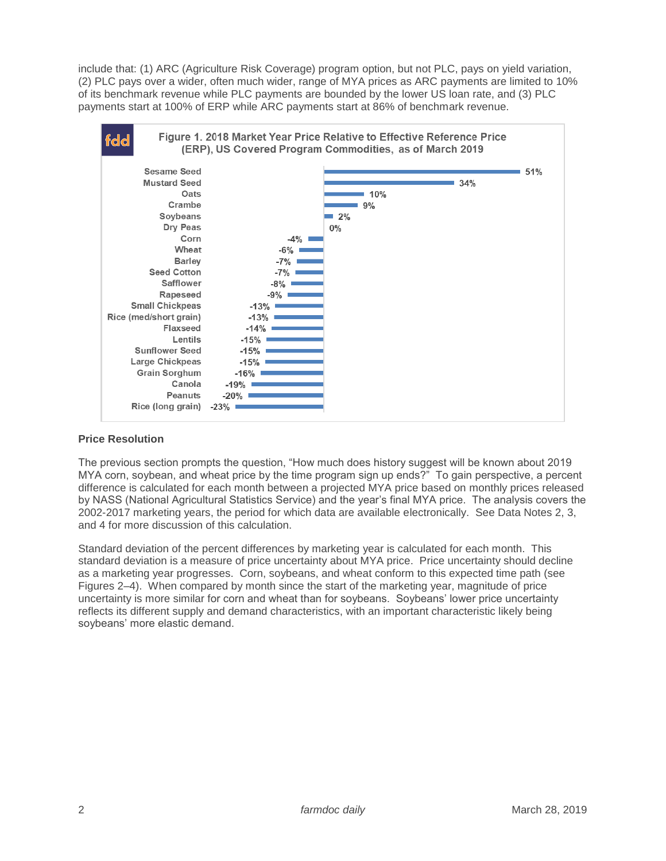include that: (1) ARC (Agriculture Risk Coverage) program option, but not PLC, pays on yield variation, (2) PLC pays over a wider, often much wider, range of MYA prices as ARC payments are limited to 10% of its benchmark revenue while PLC payments are bounded by the lower US loan rate, and (3) PLC payments start at 100% of ERP while ARC payments start at 86% of benchmark revenue.



## **Price Resolution**

The previous section prompts the question, "How much does history suggest will be known about 2019 MYA corn, soybean, and wheat price by the time program sign up ends?" To gain perspective, a percent difference is calculated for each month between a projected MYA price based on monthly prices released by NASS (National Agricultural Statistics Service) and the year's final MYA price. The analysis covers the 2002-2017 marketing years, the period for which data are available electronically. See Data Notes 2, 3, and 4 for more discussion of this calculation.

Standard deviation of the percent differences by marketing year is calculated for each month. This standard deviation is a measure of price uncertainty about MYA price. Price uncertainty should decline as a marketing year progresses. Corn, soybeans, and wheat conform to this expected time path (see Figures 2–4). When compared by month since the start of the marketing year, magnitude of price uncertainty is more similar for corn and wheat than for soybeans. Soybeans' lower price uncertainty reflects its different supply and demand characteristics, with an important characteristic likely being soybeans' more elastic demand.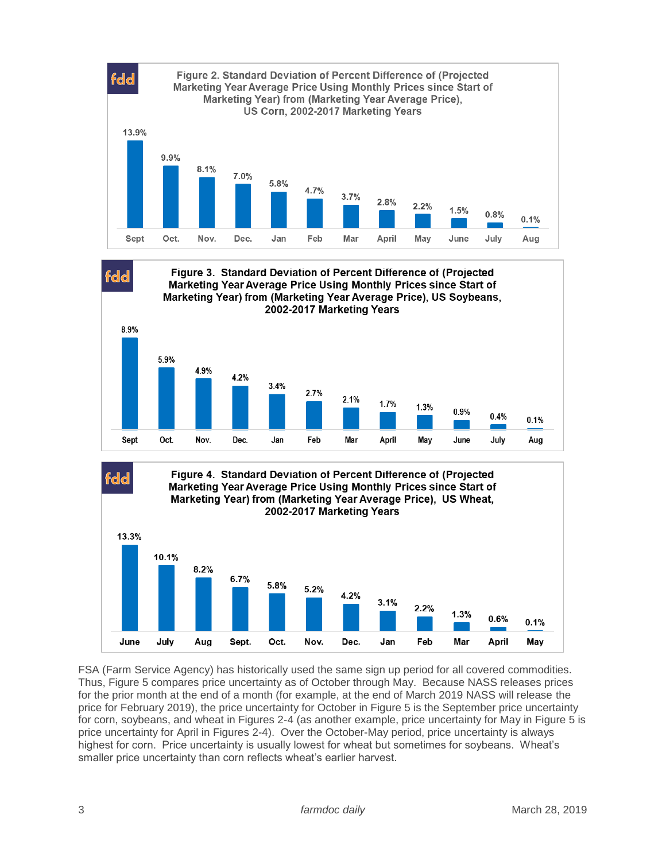

FSA (Farm Service Agency) has historically used the same sign up period for all covered commodities. Thus, Figure 5 compares price uncertainty as of October through May. Because NASS releases prices for the prior month at the end of a month (for example, at the end of March 2019 NASS will release the price for February 2019), the price uncertainty for October in Figure 5 is the September price uncertainty for corn, soybeans, and wheat in Figures 2-4 (as another example, price uncertainty for May in Figure 5 is price uncertainty for April in Figures 2-4). Over the October-May period, price uncertainty is always highest for corn. Price uncertainty is usually lowest for wheat but sometimes for soybeans. Wheat's smaller price uncertainty than corn reflects wheat's earlier harvest.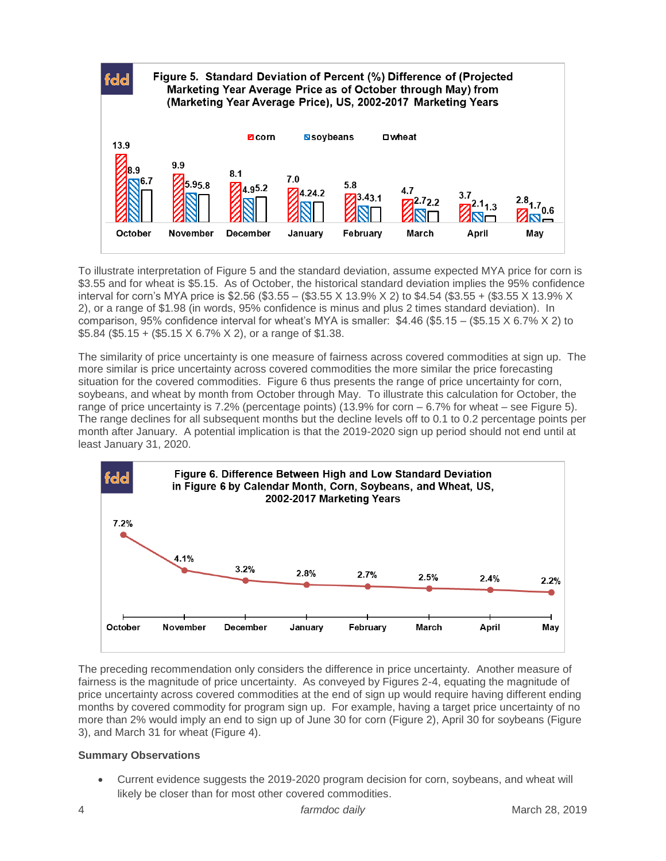

To illustrate interpretation of Figure 5 and the standard deviation, assume expected MYA price for corn is \$3.55 and for wheat is \$5.15. As of October, the historical standard deviation implies the 95% confidence interval for corn's MYA price is \$2.56 (\$3.55 – (\$3.55 X 13.9% X 2) to \$4.54 (\$3.55 + (\$3.55 X 13.9% X 2), or a range of \$1.98 (in words, 95% confidence is minus and plus 2 times standard deviation). In comparison, 95% confidence interval for wheat's MYA is smaller: \$4.46 (\$5.15 – (\$5.15 X 6.7% X 2) to  $$5.84$  (\$5.15 + (\$5.15 X 6.7% X 2), or a range of \$1.38.

The similarity of price uncertainty is one measure of fairness across covered commodities at sign up. The more similar is price uncertainty across covered commodities the more similar the price forecasting situation for the covered commodities. Figure 6 thus presents the range of price uncertainty for corn, soybeans, and wheat by month from October through May. To illustrate this calculation for October, the range of price uncertainty is 7.2% (percentage points) (13.9% for corn – 6.7% for wheat – see Figure 5). The range declines for all subsequent months but the decline levels off to 0.1 to 0.2 percentage points per month after January. A potential implication is that the 2019-2020 sign up period should not end until at least January 31, 2020.



The preceding recommendation only considers the difference in price uncertainty. Another measure of fairness is the magnitude of price uncertainty. As conveyed by Figures 2-4, equating the magnitude of price uncertainty across covered commodities at the end of sign up would require having different ending months by covered commodity for program sign up. For example, having a target price uncertainty of no more than 2% would imply an end to sign up of June 30 for corn (Figure 2), April 30 for soybeans (Figure 3), and March 31 for wheat (Figure 4).

## **Summary Observations**

 Current evidence suggests the 2019-2020 program decision for corn, soybeans, and wheat will likely be closer than for most other covered commodities.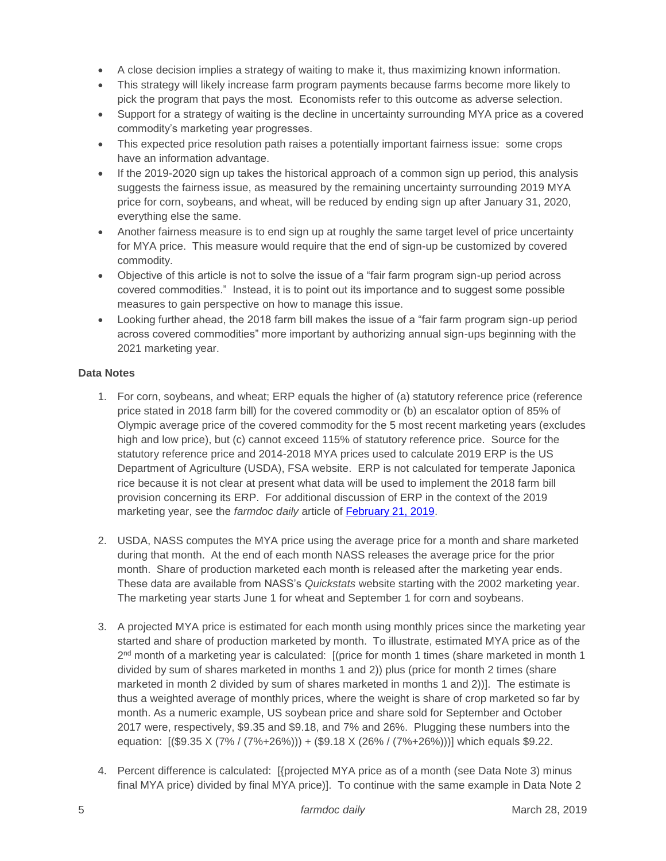- A close decision implies a strategy of waiting to make it, thus maximizing known information.
- This strategy will likely increase farm program payments because farms become more likely to pick the program that pays the most. Economists refer to this outcome as adverse selection.
- Support for a strategy of waiting is the decline in uncertainty surrounding MYA price as a covered commodity's marketing year progresses.
- This expected price resolution path raises a potentially important fairness issue: some crops have an information advantage.
- If the 2019-2020 sign up takes the historical approach of a common sign up period, this analysis suggests the fairness issue, as measured by the remaining uncertainty surrounding 2019 MYA price for corn, soybeans, and wheat, will be reduced by ending sign up after January 31, 2020, everything else the same.
- Another fairness measure is to end sign up at roughly the same target level of price uncertainty for MYA price. This measure would require that the end of sign-up be customized by covered commodity.
- Objective of this article is not to solve the issue of a "fair farm program sign-up period across covered commodities." Instead, it is to point out its importance and to suggest some possible measures to gain perspective on how to manage this issue.
- Looking further ahead, the 2018 farm bill makes the issue of a "fair farm program sign-up period across covered commodities" more important by authorizing annual sign-ups beginning with the 2021 marketing year.

# **Data Notes**

- 1. For corn, soybeans, and wheat; ERP equals the higher of (a) statutory reference price (reference price stated in 2018 farm bill) for the covered commodity or (b) an escalator option of 85% of Olympic average price of the covered commodity for the 5 most recent marketing years (excludes high and low price), but (c) cannot exceed 115% of statutory reference price. Source for the statutory reference price and 2014-2018 MYA prices used to calculate 2019 ERP is the US Department of Agriculture (USDA), FSA website. ERP is not calculated for temperate Japonica rice because it is not clear at present what data will be used to implement the 2018 farm bill provision concerning its ERP. For additional discussion of ERP in the context of the 2019 marketing year, see the *farmdoc daily* article of [February 21, 2019.](https://farmdocdaily.illinois.edu/2019/02/2018-farm-bill-reference-price-escalator-for-2019-market-year.html)
- 2. USDA, NASS computes the MYA price using the average price for a month and share marketed during that month. At the end of each month NASS releases the average price for the prior month. Share of production marketed each month is released after the marketing year ends. These data are available from NASS's *Quickstats* website starting with the 2002 marketing year. The marketing year starts June 1 for wheat and September 1 for corn and soybeans.
- 3. A projected MYA price is estimated for each month using monthly prices since the marketing year started and share of production marketed by month. To illustrate, estimated MYA price as of the 2<sup>nd</sup> month of a marketing year is calculated: [(price for month 1 times (share marketed in month 1 divided by sum of shares marketed in months 1 and 2)) plus (price for month 2 times (share marketed in month 2 divided by sum of shares marketed in months 1 and 2))]. The estimate is thus a weighted average of monthly prices, where the weight is share of crop marketed so far by month. As a numeric example, US soybean price and share sold for September and October 2017 were, respectively, \$9.35 and \$9.18, and 7% and 26%. Plugging these numbers into the equation: [(\$9.35 X (7% / (7%+26%))) + (\$9.18 X (26% / (7%+26%)))] which equals \$9.22.
- 4. Percent difference is calculated: [{projected MYA price as of a month (see Data Note 3) minus final MYA price) divided by final MYA price)]. To continue with the same example in Data Note 2